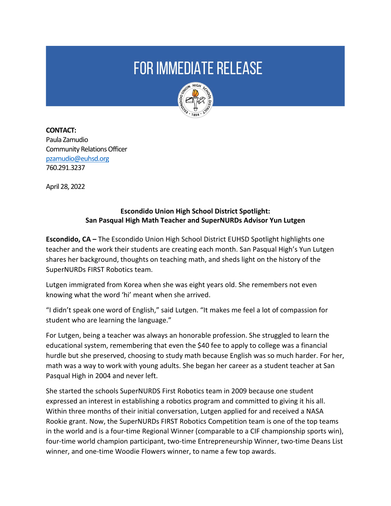## **FOR IMMEDIATE RELEASE**



**CONTACT:**  Paula Zamudio Community Relations Officer [pzamudio@euhsd.org](mailto:pzamudio@euhsd.org) 760.291.3237

April 28, 2022

## **Escondido Union High School District Spotlight: San Pasqual High Math Teacher and SuperNURDs Advisor Yun Lutgen**

**Escondido, CA –** The Escondido Union High School District EUHSD Spotlight highlights one teacher and the work their students are creating each month. San Pasqual High's Yun Lutgen shares her background, thoughts on teaching math, and sheds light on the history of the SuperNURDs FIRST Robotics team.

Lutgen immigrated from Korea when she was eight years old. She remembers not even knowing what the word 'hi' meant when she arrived.

"I didn't speak one word of English," said Lutgen. "It makes me feel a lot of compassion for student who are learning the language."

For Lutgen, being a teacher was always an honorable profession. She struggled to learn the educational system, remembering that even the \$40 fee to apply to college was a financial hurdle but she preserved, choosing to study math because English was so much harder. For her, math was a way to work with young adults. She began her career as a student teacher at San Pasqual High in 2004 and never left.

She started the schools SuperNURDS First Robotics team in 2009 because one student expressed an interest in establishing a robotics program and committed to giving it his all. Within three months of their initial conversation, Lutgen applied for and received a NASA Rookie grant. Now, the SuperNURDs FIRST Robotics Competition team is one of the top teams in the world and is a four-time Regional Winner (comparable to a CIF championship sports win), four-time world champion participant, two-time Entrepreneurship Winner, two-time Deans List winner, and one-time Woodie Flowers winner, to name a few top awards.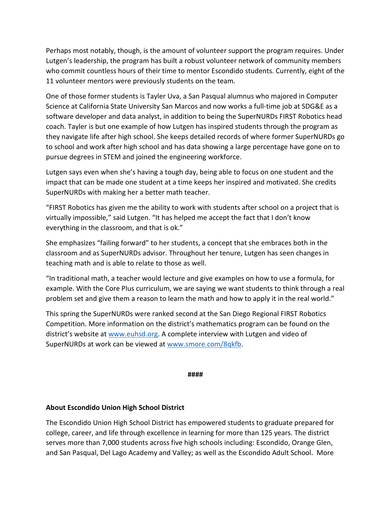Perhaps most notably, though, is the amount of volunteer support the program requires. Under Lutgen's leadership, the program has built a robust volunteer network of community members who commit countless hours of their time to mentor Escondido students. Currently, eight of the 11 volunteer mentors were previously students on the team.

One of those former students is Tayler Uva, a San Pasqual alumnus who majored in Computer Science at California State University San Marcos and now works a full-time job at SDG&E as a software developer and data analyst, in addition to being the SuperNURDs FIRST Robotics head coach. Tayler is but one example of how Lutgen has inspired students through the program as they navigate life after high school. She keeps detailed records of where former SuperNURDs go to school and work after high school and has data showing a large percentage have gone on to pursue degrees in STEM and joined the engineering workforce.

Lutgen says even when she's having a tough day, being able to focus on one student and the impact that can be made one student at a time keeps her inspired and motivated. She credits SuperNURDs with making her a better math teacher.

"FIRST Robotics has given me the ability to work with students after school on a project that is virtually impossible," said Lutgen. "It has helped me accept the fact that I don't know everything in the classroom, and that is ok."

She emphasizes "failing forward" to her students, a concept that she embraces both in the classroom and as SuperNURDs advisor. Throughout her tenure, Lutgen has seen changes in teaching math and is able to relate to those as well.

"In traditional math, a teacher would lecture and give examples on how to use a formula, for example. With the Core Plus curriculum, we are saying we want students to think through a real problem set and give them a reason to learn the math and how to apply it in the real world."

This spring the SuperNURDs were ranked second at the San Diego Regional FIRST Robotics Competition. More information on the district's mathematics program can be found on the district's website a[t www.euhsd.org.](http://www.euhsd.org/) A complete interview with Lutgen and video of SuperNURDs at work can be viewed at [www.smore.com/8qkfb.](http://www.smore.com/8qkfb)

**####**

## **About Escondido Union High School District**

The Escondido Union High School District has empowered students to graduate prepared for college, career, and life through excellence in learning for more than 125 years. The district serves more than 7,000 students across five high schools including: Escondido, Orange Glen, and San Pasqual, Del Lago Academy and Valley; as well as the Escondido Adult School. More